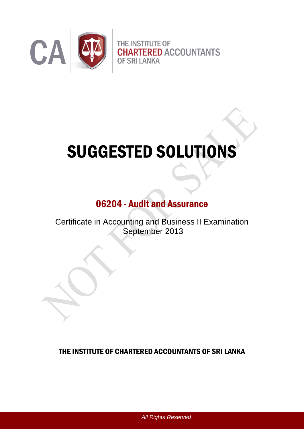

# SUGGESTED SOLUTIONS

# 06204 - Audit and Assurance

Certificate in Accounting and Business II Examination September 2013

THE INSTITUTE OF CHARTERED ACCOUNTANTS OF SRI LANKA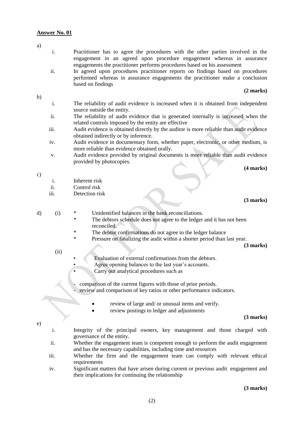#### **Answer No. 01**

- i. Practitioner has to agree the procedures with the other parties involved in the engagement in an agreed upon procedure engagement whereas in assurance engagements the practitioner performs procedures based on his assessment
- ii. In agreed upon procedures practitioner reports on findings based on procedures performed whereas in assurance engagements the practitioner make a conclusion based on findings

#### **(2 marks)**

b)

a)

- i. The reliability of audit evidence is increased when it is obtained from independent source outside the entity.
- ii. The reliability of audit evidence that is generated internally is increased when the related controls imposed by the entity are effective
- iii. Audit evidence is obtained directly by the auditor is more reliable than audit evidence obtained indirectly or by inference.
- iv. Audit evidence in documentary form, whether paper, electronic, or other medium, is more reliable than evidence obtained orally.
- v. Audit evidence provided by original documents is more reliable than audit evidence provided by photocopies.

**(4 marks)**

- c)
- i. Inherent risk
- ii. Control risk
- iii. Detection risk

#### **(3 marks)**

- d) (i) \* Unidentified balances in the bank reconciliations.
	- The debtors schedule does not agree to the ledger and it has not been reconciled.
	- \* The debtor confirmations do not agree to the ledger balance
	- \* Pressure on finalizing the audit within a shorter period than last year.

**(3 marks)**

- (ii)
- Evaluation of external confirmations from the debtors.
- Agree opening balances to the last year's accounts.
- Carry out analytical procedures such as
- comparison of the current figures with those of prior periods.
	- review and comparison of key ratios or other performance indicators.
		- review of large and/ or unusual items and verify.
		- review postings to ledger and adjustments

#### **(3 marks)**

- e)
- i. Integrity of the principal owners, key management and those charged with governance of the entity.
- ii. Whether the engagement team is competent enough to perform the audit engagement and has the necessary capabilities, including time and resources
- iii. Whether the firm and the engagement team can comply with relevant ethical requirements
- iv. Significant matters that have arisen during current or previous audit engagement and their implications for continuing the relationship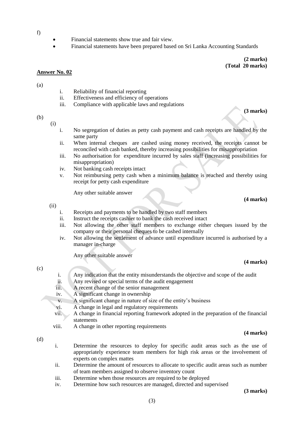- f)
- Financial statements show true and fair view.
- Financial statements have been prepared based on Sri Lanka Accounting Standards

**(2 marks) (Total 20 marks)** 

**(3 marks)**

#### **Answer No. 02**

(a)

- i. Reliability of financial reporting
- ii. Effectiveness and efficiency of operations
- iii. Compliance with applicable laws and regulations

#### (b)

(i)

- i. No segregation of duties as petty cash payment and cash receipts are handled by the same party
- ii. When internal cheques are cashed using money received, the receipts cannot be reconciled with cash banked, thereby increasing possibilities for misappropriation
- iii. No authorisation for expenditure incurred by sales staff (increasing possibilities for misappropriation)
- iv. Not banking cash receipts intact
- v. Not reimbursing petty cash when a minimum balance is reached and thereby using receipt for petty cash expenditure

Any other suitable answer

(ii)

- i. Receipts and payments to be handled by two staff members
- ii. Instruct the receipts cashier to bank the cash received intact
- iii. Not allowing the other staff members to exchange either cheques issued by the company or their personal cheques to be cashed internally
- iv. Not allowing the settlement of advance until expenditure incurred is authorised by a manager in-charge

Any other suitable answer

#### **(4 marks)**

**(4 marks)**

 $(c)$ 

- i. Any indication that the entity misunderstands the objective and scope of the audit
- ii. Any revised or special terms of the audit engagement
- iii. A recent change of the senior management
- iv. A significant change in ownership
- v. A significant change in nature of size of the entity's business
- vi. A change in legal and regulatory requirements
- vii. A change in financial reporting framework adopted in the preparation of the financial statements
- viii. A change in other reporting requirements

#### **(4 marks)**

(d)

- i. Determine the resources to deploy for specific audit areas such as the use of appropriately experience team members for high risk areas or the involvement of experts on complex mattes
- ii. Determine the amount of resources to allocate to specific audit areas such as number of team members assigned to observe inventory count
- iii. Determine when those resources are required to be deployed
- iv. Determine how such resources are managed, directed and supervised

**(3 marks)**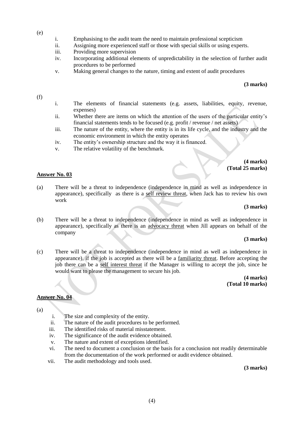- (e)
- i. Emphasising to the audit team the need to maintain professional scepticism
- ii. Assigning more experienced staff or those with special skills or using experts.
- iii. Providing more supervision
- iv. Incorporating additional elements of unpredictability in the selection of further audit procedures to be performed
- v. Making general changes to the nature, timing and extent of audit procedures

#### **(3 marks)**

#### (f)

- i. The elements of financial statements (e.g. assets, liabilities, equity, revenue, expenses)
- ii. Whether there are items on which the attention of the users of the particular entity's financial statements tends to be focused (e.g. profit / revenue / net assets)
- iii. The nature of the entity, where the entity is in its life cycle, and the industry and the economic environment in which the entity operates
- iv. The entity's ownership structure and the way it is financed.
- v. The relative volatility of the benchmark.

#### **(4 marks) (Total 25 marks)**

#### **Answer No. 03**

(a) There will be a threat to independence (independence in mind as well as independence in appearance), specifically as there is a self review threat, when Jack has to review his own work

#### **(3 marks)**

(b) There will be a threat to independence (independence in mind as well as independence in appearance), specifically as there is an advocacy threat when Jill appears on behalf of the company

#### **(3 marks)**

(c) There will be a threat to independence (independence in mind as well as independence in appearance), if the job is accepted as there will be a familiarity threat. Before accepting the job there can be a self interest threat if the Manager is willing to accept the job, since he would want to please the management to secure his job.

> **(4 marks) (Total 10 marks)**

#### **Answer No. 04**

(a)

- i. The size and complexity of the entity.
- ii. The nature of the audit procedures to be performed.
- iii. The identified risks of material misstatement.
- iv. The significance of the audit evidence obtained.
- v. The nature and extent of exceptions identified.
- vi. The need to document a conclusion or the basis for a conclusion not readily determinable from the documentation of the work performed or audit evidence obtained.
- vii. The audit methodology and tools used.

**(3 marks)**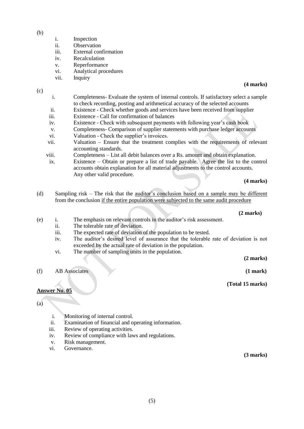(b)

- i. Inspection
- ii. Observation
- iii. External confirmation
- iv. Recalculation
- v. Reperformance
- vi. Analytical procedures
- vii. Inquiry

(c)

- i. Completeness- Evaluate the system of internal controls. If satisfactory select a sample to check recording, posting and arithmetical accuracy of the selected accounts
- ii. Existence Check whether goods and services have been received from supplier
- iii. Existence Call for confirmation of balances
- iv. Existence Check with subsequent payments with following year's cash book
- v. Completeness- Comparison of supplier statements with purchase ledger accounts
- vi. Valuation Check the supplier's invoices.
- vii. Valuation Ensure that the treatment complies with the requirements of relevant accounting standards.
- viii. Completeness List all debit balances over a Rs. amount and obtain explanation.
- ix. Existence Obtain or prepare a list of trade payable. Agree the list to the control accounts obtain explanation for all material adjustments to the control accounts. Any other valid procedure.

**(4 marks)**

(d) Sampling risk – The risk that the auditor's conclusion based on a sample may be different from the conclusion if the entire population were subjected to the same audit procedure

 **(2 marks)**

- (e) i. The emphasis on relevant controls in the auditor's risk assessment.
	- ii. The tolerable rate of deviation.
	- iii. The expected rate of deviation of the population to be tested.
	- iv. The auditor's desired level of assurance that the tolerable rate of deviation is not exceeded by the actual rate of deviation in the population.
	- vi. The number of sampling units in the population.

**(2 marks)**

(f) AB Associates **(1 mark)**

**(Total 15 marks)**

# **Answer No. 05**

(a)

- i. Monitoring of internal control.
- ii. Examination of financial and operating information.
- iii. Review of operating activities.
- iv. Review of compliance with laws and regulations.
- v. Risk management.
- vi. Governance.

**(3 marks)**

**(4 marks)**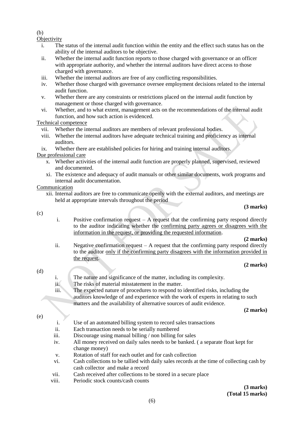#### (b)

**Objectivity** 

- i. The status of the internal audit function within the entity and the effect such status has on the ability of the internal auditors to be objective.
- ii. Whether the internal audit function reports to those charged with governance or an officer with appropriate authority, and whether the internal auditors have direct access to those charged with governance.
- iii. Whether the internal auditors are free of any conflicting responsibilities.
- iv. Whether those charged with governance oversee employment decisions related to the internal audit function.
- v. Whether there are any constraints or restrictions placed on the internal audit function by management or those charged with governance.
- vi. Whether, and to what extent, management acts on the recommendations of the internal audit function, and how such action is evidenced.

#### Technical competence

- vii. Whether the internal auditors are members of relevant professional bodies.
- viii. Whether the internal auditors have adequate technical training and proficiency as internal auditors.
- ix. Whether there are established policies for hiring and training internal auditors.

#### Due professional care

- x. Whether activities of the internal audit function are properly planned, supervised, reviewed and documented.
- xi. The existence and adequacy of audit manuals or other similar documents, work programs and internal audit documentation.

#### Communication

xii. Internal auditors are free to communicate openly with the external auditors, and meetings are held at appropriate intervals throughout the period

#### **(3 marks)**

#### (c)

i. Positive confirmation request  $- A$  request that the confirming party respond directly to the auditor indicating whether the confirming party agrees or disagrees with the information in the request, or providing the requested information.

**(2 marks)**

ii. Negative confirmation request – A request that the confirming party respond directly to the auditor only if the confirming party disagrees with the information provided in the request.

**(2 marks)**

#### (d)

- i. The nature and significance of the matter, including its complexity.
- ii. The risks of material misstatement in the matter.

iii. The expected nature of procedures to respond to identified risks, including the auditors knowledge of and experience with the work of experts in relating to such matters and the availability of alternative sources of audit evidence.

**(2 marks)**

#### (e)

- i. Use of an automated billing system to record sales transactions
- ii. Each transaction needs to be serially numbered
- iii. Discourage using manual billing / non billing for sales
- iv. All money received on daily sales needs to be banked. ( a separate float kept for change money)
- v. Rotation of staff for each outlet and for cash collection
- vi. Cash collections to be tallied with daily sales records at the time of collecting cash by cash collector and make a record
- vii. Cash received after collections to be stored in a secure place
- viii. Periodic stock counts/cash counts

### **(3 marks) (Total 15 marks)**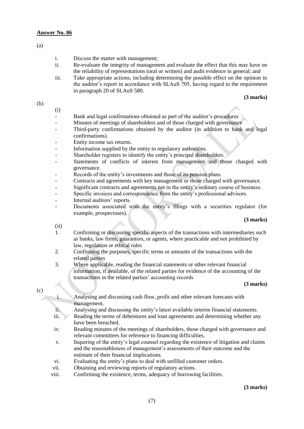#### **Answer No. 06**

(a)

- i. Discuss the matter with management;
- ii. Re-evaluate the integrity of management and evaluate the effect that this may have on the reliability of representations (oral or written) and audit evidence in general; and
- iii. Take appropriate actions, including determining the possible effect on the opinion in the auditor's report in accordance with SLAuS 705, having regard to the requirement in paragraph 20 of SLAuS 580.

#### **(3 marks)**

(b)

(i)

- Bank and legal confirmations obtained as part of the auditor's procedures
- Minutes of meetings of shareholders and of those charged with governance
- Third-party confirmations obtained by the auditor (in addition to bank and legal confirmations).
- Entity income tax returns.
- Information supplied by the entity to regulatory authorities.
- Shareholder registers to identify the entity's principal shareholders.
- Statements of conflicts of interest from management and those charged with governance.
- Records of the entity's investments and those of its pension plans.
- Contracts and agreements with key management or those charged with governance.
- Significant contracts and agreements not in the entity's ordinary course of business.
- Specific invoices and correspondence from the entity's professional advisors.
- Internal auditors' reports.
- Documents associated with the entity's filings with a securities regulator (for example, prospectuses).

#### **(3 marks)**

(ii)

- 1. Confirming or discussing specific aspects of the transactions with intermediaries such as banks, law firms, guarantors, or agents, where practicable and not prohibited by law, regulation or ethical rules
- 2. Confirming the purposes, specific terms or amounts of the transactions with the related parties
- 3. Where applicable, reading the financial statements or other relevant financial information, if available, of the related parties for evidence of the accounting of the transactions in the related parties' accounting records

#### **(3 marks)**

(c)

- i. Analysing and discussing cash flow, profit and other relevant forecasts with management.
- ii. Analysing and discussing the entity's latest available interim financial statements.
- iii. Reading the terms of debentures and loan agreements and determining whether any have been breached.
- iv. Reading minutes of the meetings of shareholders, those charged with governance and relevant committees for reference to financing difficulties.
- v. Inquiring of the entity's legal counsel regarding the existence of litigation and claims and the reasonableness of management's assessments of their outcome and the estimate of their financial implications.
- vi. Evaluating the entity's plans to deal with unfilled customer orders.
- vii. Obtaining and reviewing reports of regulatory actions.
- viii. Confirming the existence, terms, adequacy of borrowing facilities.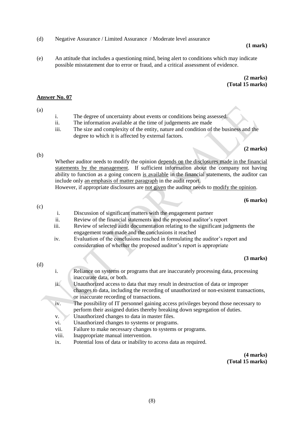(d) Negative Assurance / Limited Assurance / Moderate level assurance

#### **(1 mark)**

(e) An attitude that includes a questioning mind, being alert to conditions which may indicate possible misstatement due to error or fraud, and a critical assessment of evidence.

> **(2 marks) (Total 15 marks)**

#### **Answer No. 07**

#### (a)

- i. The degree of uncertainty about events or conditions being assessed.
- ii. The information available at the time of judgements are made
- iii. The size and complexity of the entity, nature and condition of the business and the degree to which it is affected by external factors.

#### **(2 marks)**

#### (b)

Whether auditor needs to modify the opinion depends on the disclosures made in the financial statements by the management. If sufficient information about the company not having ability to function as a going concern is available in the financial statements, the auditor can include only an emphasis of matter paragraph in the audit report.

However, if appropriate disclosures are not given the auditor needs to modify the opinion.

#### **(6 marks)**

#### (c)

- i. Discussion of significant matters with the engagement partner
- ii. Review of the financial statements and the proposed auditor's report
- iii. Review of selected audit documentation relating to the significant judgments the engagement team made and the conclusions it reached
- iv. Evaluation of the conclusions reached in formulating the auditor's report and consideration of whether the proposed auditor's report is appropriate

#### **(3 marks)**

#### (d)

- i. Reliance on systems or programs that are inaccurately processing data, processing inaccurate data, or both.
- ii. Unauthorized access to data that may result in destruction of data or improper changes to data, including the recording of unauthorized or non-existent transactions, or inaccurate recording of transactions.
- iv. The possibility of IT personnel gaining access privileges beyond those necessary to perform their assigned duties thereby breaking down segregation of duties.
- v. Unauthorized changes to data in master files.
- vi. Unauthorized changes to systems or programs.
- vii. Failure to make necessary changes to systems or programs.
- viii. Inappropriate manual intervention.
- ix. Potential loss of data or inability to access data as required.

**(4 marks) (Total 15 marks)**